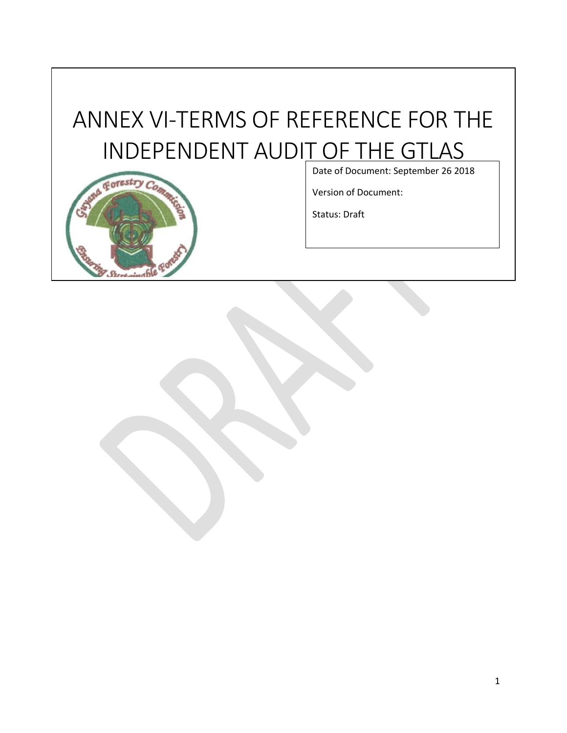# ANNEX VI-TERMS OF REFERENCE FOR THE INDEPENDENT AUDIT OF THE GTLAS



Date of Document: September 26 2018

Version of Document:

Status: Draft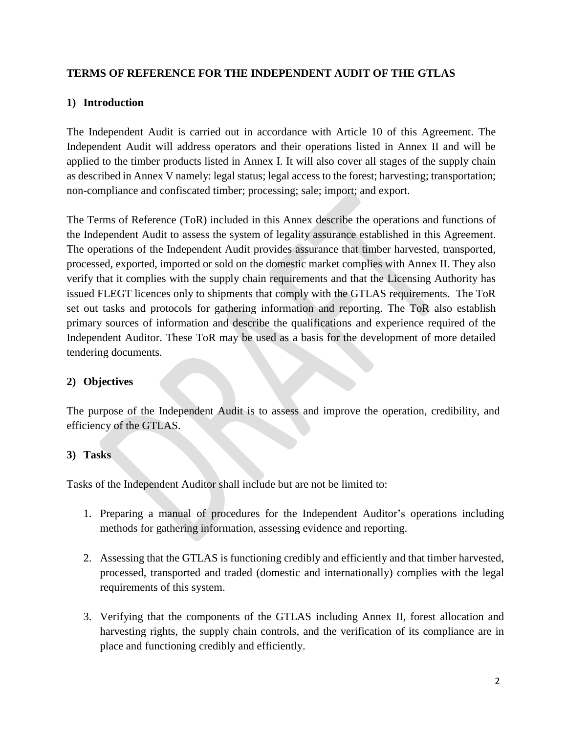#### **TERMS OF REFERENCE FOR THE INDEPENDENT AUDIT OF THE GTLAS**

#### **1) Introduction**

The Independent Audit is carried out in accordance with Article 10 of this Agreement. The Independent Audit will address operators and their operations listed in Annex II and will be applied to the timber products listed in Annex I. It will also cover all stages of the supply chain as described in Annex V namely: legal status; legal access to the forest; harvesting; transportation; non-compliance and confiscated timber; processing; sale; import; and export.

The Terms of Reference (ToR) included in this Annex describe the operations and functions of the Independent Audit to assess the system of legality assurance established in this Agreement. The operations of the Independent Audit provides assurance that timber harvested, transported, processed, exported, imported or sold on the domestic market complies with Annex II. They also verify that it complies with the supply chain requirements and that the Licensing Authority has issued FLEGT licences only to shipments that comply with the GTLAS requirements. The ToR set out tasks and protocols for gathering information and reporting. The ToR also establish primary sources of information and describe the qualifications and experience required of the Independent Auditor. These ToR may be used as a basis for the development of more detailed tendering documents.

# **2) Objectives**

The purpose of the Independent Audit is to assess and improve the operation, credibility, and efficiency of the GTLAS.

#### **3) Tasks**

Tasks of the Independent Auditor shall include but are not be limited to:

- 1. Preparing a manual of procedures for the Independent Auditor's operations including methods for gathering information, assessing evidence and reporting.
- 2. Assessing that the GTLAS is functioning credibly and efficiently and that timber harvested, processed, transported and traded (domestic and internationally) complies with the legal requirements of this system.
- 3. Verifying that the components of the GTLAS including Annex II, forest allocation and harvesting rights, the supply chain controls, and the verification of its compliance are in place and functioning credibly and efficiently.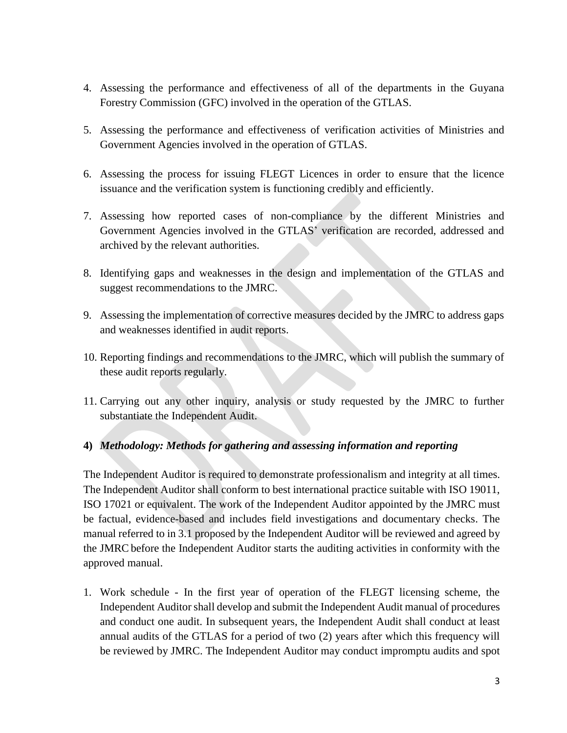- 4. Assessing the performance and effectiveness of all of the departments in the Guyana Forestry Commission (GFC) involved in the operation of the GTLAS.
- 5. Assessing the performance and effectiveness of verification activities of Ministries and Government Agencies involved in the operation of GTLAS.
- 6. Assessing the process for issuing FLEGT Licences in order to ensure that the licence issuance and the verification system is functioning credibly and efficiently.
- 7. Assessing how reported cases of non-compliance by the different Ministries and Government Agencies involved in the GTLAS' verification are recorded, addressed and archived by the relevant authorities.
- 8. Identifying gaps and weaknesses in the design and implementation of the GTLAS and suggest recommendations to the JMRC.
- 9. Assessing the implementation of corrective measures decided by the JMRC to address gaps and weaknesses identified in audit reports.
- 10. Reporting findings and recommendations to the JMRC, which will publish the summary of these audit reports regularly.
- 11. Carrying out any other inquiry, analysis or study requested by the JMRC to further substantiate the Independent Audit.

# **4)** *Methodology: Methods for gathering and assessing information and reporting*

The Independent Auditor is required to demonstrate professionalism and integrity at all times. The Independent Auditor shall conform to best international practice suitable with ISO 19011, ISO 17021 or equivalent. The work of the Independent Auditor appointed by the JMRC must be factual, evidence-based and includes field investigations and documentary checks. The manual referred to in 3.1 proposed by the Independent Auditor will be reviewed and agreed by the JMRC before the Independent Auditor starts the auditing activities in conformity with the approved manual.

1. Work schedule - In the first year of operation of the FLEGT licensing scheme, the Independent Auditorshall develop and submit the Independent Audit manual of procedures and conduct one audit. In subsequent years, the Independent Audit shall conduct at least annual audits of the GTLAS for a period of two (2) years after which this frequency will be reviewed by JMRC. The Independent Auditor may conduct impromptu audits and spot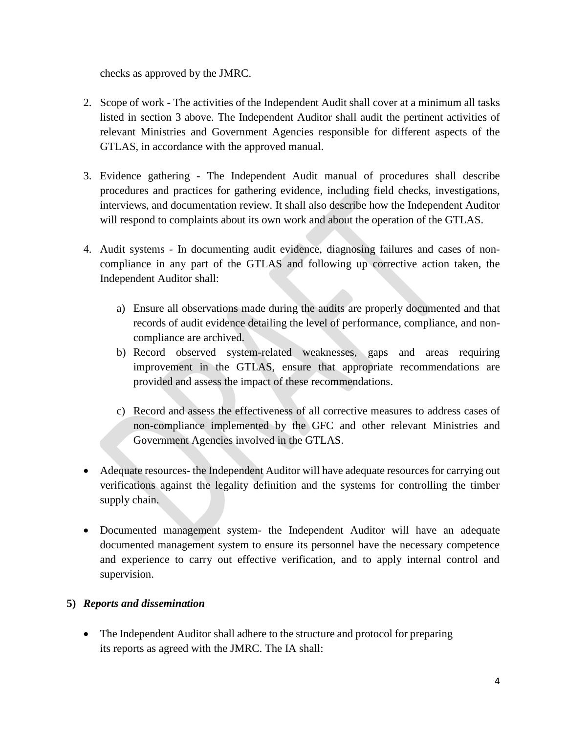checks as approved by the JMRC.

- 2. Scope of work The activities of the Independent Audit shall cover at a minimum all tasks listed in section 3 above. The Independent Auditor shall audit the pertinent activities of relevant Ministries and Government Agencies responsible for different aspects of the GTLAS, in accordance with the approved manual.
- 3. Evidence gathering The Independent Audit manual of procedures shall describe procedures and practices for gathering evidence, including field checks, investigations, interviews, and documentation review. It shall also describe how the Independent Auditor will respond to complaints about its own work and about the operation of the GTLAS.
- 4. Audit systems In documenting audit evidence, diagnosing failures and cases of noncompliance in any part of the GTLAS and following up corrective action taken, the Independent Auditor shall:
	- a) Ensure all observations made during the audits are properly documented and that records of audit evidence detailing the level of performance, compliance, and noncompliance are archived.
	- b) Record observed system-related weaknesses, gaps and areas requiring improvement in the GTLAS, ensure that appropriate recommendations are provided and assess the impact of these recommendations.
	- c) Record and assess the effectiveness of all corrective measures to address cases of non-compliance implemented by the GFC and other relevant Ministries and Government Agencies involved in the GTLAS.
- Adequate resources- the Independent Auditor will have adequate resources for carrying out verifications against the legality definition and the systems for controlling the timber supply chain.
- Documented management system- the Independent Auditor will have an adequate documented management system to ensure its personnel have the necessary competence and experience to carry out effective verification, and to apply internal control and supervision.

# **5)** *Reports and dissemination*

• The Independent Auditor shall adhere to the structure and protocol for preparing its reports as agreed with the JMRC. The IA shall: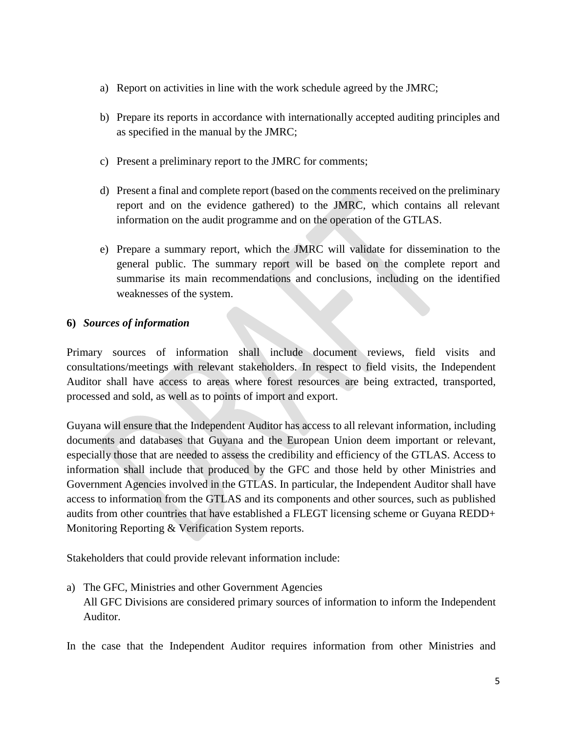- a) Report on activities in line with the work schedule agreed by the JMRC;
- b) Prepare its reports in accordance with internationally accepted auditing principles and as specified in the manual by the JMRC;
- c) Present a preliminary report to the JMRC for comments;
- d) Present a final and complete report (based on the comments received on the preliminary report and on the evidence gathered) to the JMRC, which contains all relevant information on the audit programme and on the operation of the GTLAS.
- e) Prepare a summary report, which the JMRC will validate for dissemination to the general public. The summary report will be based on the complete report and summarise its main recommendations and conclusions, including on the identified weaknesses of the system.

#### **6)** *Sources of information*

Primary sources of information shall include document reviews, field visits and consultations/meetings with relevant stakeholders. In respect to field visits, the Independent Auditor shall have access to areas where forest resources are being extracted, transported, processed and sold, as well as to points of import and export.

Guyana will ensure that the Independent Auditor has access to all relevant information, including documents and databases that Guyana and the European Union deem important or relevant, especially those that are needed to assess the credibility and efficiency of the GTLAS. Access to information shall include that produced by the GFC and those held by other Ministries and Government Agencies involved in the GTLAS. In particular, the Independent Auditor shall have access to information from the GTLAS and its components and other sources, such as published audits from other countries that have established a FLEGT licensing scheme or Guyana REDD+ Monitoring Reporting & Verification System reports.

Stakeholders that could provide relevant information include:

- a) The GFC, Ministries and other Government Agencies All GFC Divisions are considered primary sources of information to inform the Independent Auditor.
- In the case that the Independent Auditor requires information from other Ministries and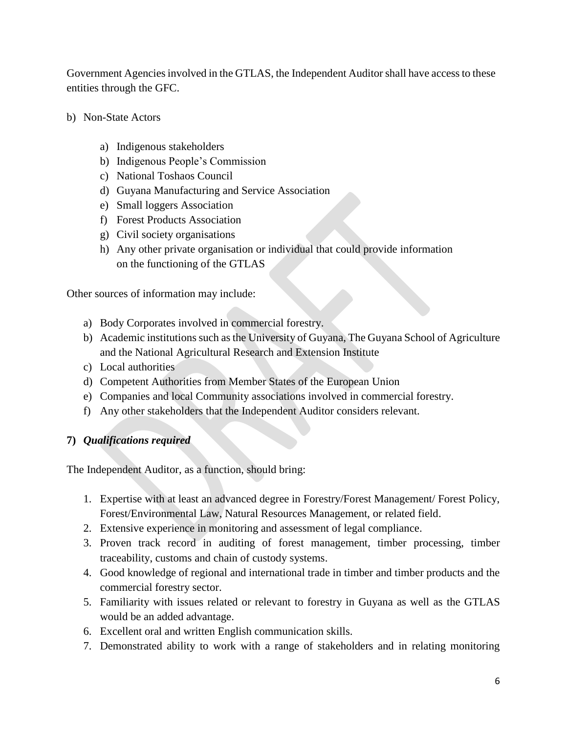Government Agencies involved in the GTLAS, the Independent Auditor shall have access to these entities through the GFC.

- b) Non-State Actors
	- a) Indigenous stakeholders
	- b) Indigenous People's Commission
	- c) National Toshaos Council
	- d) Guyana Manufacturing and Service Association
	- e) Small loggers Association
	- f) Forest Products Association
	- g) Civil society organisations
	- h) Any other private organisation or individual that could provide information on the functioning of the GTLAS

Other sources of information may include:

- a) Body Corporates involved in commercial forestry.
- b) Academic institutions such as the University of Guyana, The Guyana School of Agriculture and the National Agricultural Research and Extension Institute
- c) Local authorities
- d) Competent Authorities from Member States of the European Union
- e) Companies and local Community associations involved in commercial forestry.
- f) Any other stakeholders that the Independent Auditor considers relevant.

#### **7)** *Qualifications required*

The Independent Auditor, as a function, should bring:

- 1. Expertise with at least an advanced degree in Forestry/Forest Management/ Forest Policy, Forest/Environmental Law, Natural Resources Management, or related field.
- 2. Extensive experience in monitoring and assessment of legal compliance.
- 3. Proven track record in auditing of forest management, timber processing, timber traceability, customs and chain of custody systems.
- 4. Good knowledge of regional and international trade in timber and timber products and the commercial forestry sector.
- 5. Familiarity with issues related or relevant to forestry in Guyana as well as the GTLAS would be an added advantage.
- 6. Excellent oral and written English communication skills.
- 7. Demonstrated ability to work with a range of stakeholders and in relating monitoring